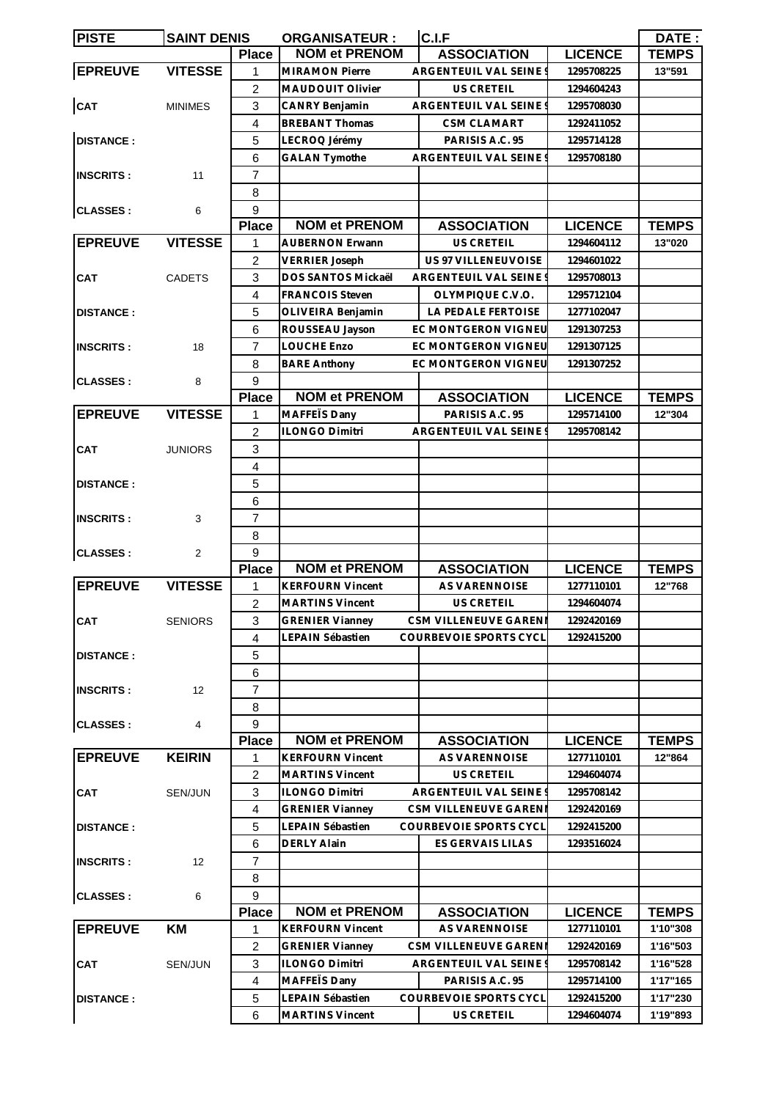| <b>PISTE</b>                         | <b>SAINT DENIS</b> |                | <b>ORGANISATEUR:</b>    | C.I.F                         |                | DATE:        |
|--------------------------------------|--------------------|----------------|-------------------------|-------------------------------|----------------|--------------|
|                                      |                    | <b>Place</b>   | <b>NOM et PRENOM</b>    | <b>ASSOCIATION</b>            | <b>LICENCE</b> | <b>TEMPS</b> |
| <b>EPREUVE</b>                       | <b>VITESSE</b>     | 1              | <b>MIRAMON Pierre</b>   | ARGENTEUIL VAL SEINE          | 1295708225     | 13"591       |
|                                      |                    | $\overline{c}$ | <b>MAUDOUIT Olivier</b> | <b>US CRETEIL</b>             | 1294604243     |              |
| CAT                                  | <b>MINIMES</b>     | 3              | <b>CANRY Benjamin</b>   | ARGENTEUIL VAL SEINE          | 1295708030     |              |
|                                      |                    | $\overline{4}$ | <b>BREBANT Thomas</b>   | CSM CLAMART                   | 1292411052     |              |
| <b>DISTANCE:</b>                     |                    | 5              | LECROQ Jérémy           | PARISIS A.C. 95               | 1295714128     |              |
|                                      |                    | 6              | <b>GALAN Tymothe</b>    | ARGENTEUIL VAL SEINE          | 1295708180     |              |
| <b>INSCRITS:</b>                     | 11                 | $\overline{7}$ |                         |                               |                |              |
|                                      |                    | 8              |                         |                               |                |              |
| <b>CLASSES:</b>                      |                    | 9              |                         |                               |                |              |
|                                      | 6                  |                | <b>NOM et PRENOM</b>    |                               |                |              |
| <b>EPREUVE</b>                       |                    | <b>Place</b>   |                         | <b>ASSOCIATION</b>            | <b>LICENCE</b> | <b>TEMPS</b> |
|                                      | <b>VITESSE</b>     | 1              | <b>AUBERNON Erwann</b>  | <b>US CRETEIL</b>             | 1294604112     | 13"020       |
| <b>CAT</b>                           |                    | $\overline{2}$ | <b>VERRIER Joseph</b>   | US 97 VILLENEUVOISE           | 1294601022     |              |
|                                      | <b>CADETS</b>      | 3              | DOS SANTOS Mickaël      | ARGENTEUIL VAL SEINE          | 1295708013     |              |
|                                      |                    | $\overline{4}$ | <b>FRANCOIS Steven</b>  | OLYMPIQUE C.V.O.              | 1295712104     |              |
| <b>DISTANCE:</b>                     |                    | 5              | OLIVEIRA Benjamin       | LA PEDALE FERTOISE            | 1277102047     |              |
|                                      |                    | 6              | ROUSSEAU Jayson         | EC MONTGERON VIGNEU           | 1291307253     |              |
| <b>INSCRITS:</b>                     | 18                 | $\overline{7}$ | <b>LOUCHE Enzo</b>      | EC MONTGERON VIGNEL           | 1291307125     |              |
|                                      |                    | 8              | <b>BARE Anthony</b>     | EC MONTGERON VIGNEU           | 1291307252     |              |
| <b>CLASSES:</b>                      | 8                  | 9              |                         |                               |                |              |
|                                      |                    | <b>Place</b>   | <b>NOM et PRENOM</b>    | <b>ASSOCIATION</b>            | <b>LICENCE</b> | <b>TEMPS</b> |
| <b>EPREUVE</b>                       | <b>VITESSE</b>     | 1              | MAFFETS Dany            | PARISIS A.C. 95               | 1295714100     | 12"304       |
|                                      |                    | $\overline{c}$ | <b>ILONGO Dimitri</b>   | ARGENTEUIL VAL SEINE          | 1295708142     |              |
| <b>CAT</b>                           | <b>JUNIORS</b>     | 3              |                         |                               |                |              |
|                                      |                    |                |                         |                               |                |              |
| <b>DISTANCE:</b><br><b>INSCRITS:</b> |                    | 4              |                         |                               |                |              |
|                                      |                    | 5              |                         |                               |                |              |
|                                      |                    | 6              |                         |                               |                |              |
|                                      | 3                  | $\overline{7}$ |                         |                               |                |              |
|                                      |                    | 8              |                         |                               |                |              |
| <b>CLASSES:</b>                      | 2                  | 9              |                         |                               |                |              |
|                                      |                    | <b>Place</b>   | <b>NOM et PRENOM</b>    | <b>ASSOCIATION</b>            | <b>LICENCE</b> | <b>TEMPS</b> |
| <b>EPREUVE</b>                       | <b>VITESSE</b>     | 1              | <b>KERFOURN Vincent</b> | <b>AS VARENNOISE</b>          | 1277110101     | 12"768       |
|                                      |                    | 2              | <b>MARTINS Vincent</b>  | US CRETEIL                    | 1294604074     |              |
| CAT                                  | <b>SENIORS</b>     | 3              | GRENIER Vianney         | CSM VILLENEUVE GARENI         | 1292420169     |              |
|                                      |                    | 4              | LEPAIN Sébastien        | <b>COURBEVOIE SPORTS CYCL</b> | 1292415200     |              |
| <b>DISTANCE:</b>                     |                    | 5              |                         |                               |                |              |
|                                      |                    | 6              |                         |                               |                |              |
| <b>INSCRITS:</b>                     | 12                 | 7              |                         |                               |                |              |
|                                      |                    | 8              |                         |                               |                |              |
| <b>CLASSES:</b>                      | 4                  | 9              |                         |                               |                |              |
|                                      |                    | <b>Place</b>   | <b>NOM et PRENOM</b>    | <b>ASSOCIATION</b>            | <b>LICENCE</b> | <b>TEMPS</b> |
| <b>EPREUVE</b>                       | <b>KEIRIN</b>      | 1              | <b>KERFOURN Vincent</b> | AS VARENNOISE                 | 1277110101     | 12"864       |
|                                      |                    | $\overline{2}$ | <b>MARTINS Vincent</b>  | <b>US CRETEIL</b>             | 1294604074     |              |
|                                      |                    |                |                         |                               |                |              |
| <b>CAT</b>                           | SEN/JUN            | 3              | <b>ILONGO Dimitri</b>   | ARGENTEUIL VAL SEINE          | 1295708142     |              |
|                                      |                    | 4              | <b>GRENIER Vianney</b>  | CSM VILLENEUVE GARENI         | 1292420169     |              |
| <b>DISTANCE:</b>                     |                    | 5              | LEPAIN Sébastien        | COURBEVOIE SPORTS CYCL        | 1292415200     |              |
|                                      |                    | 6              | DERLY Alain             | ES GERVAIS LILAS              | 1293516024     |              |
| <b>INSCRITS:</b>                     | 12                 | $\overline{7}$ |                         |                               |                |              |
|                                      |                    | 8              |                         |                               |                |              |
| <b>CLASSES:</b>                      | 6                  | 9              |                         |                               |                |              |
|                                      |                    | <b>Place</b>   | <b>NOM et PRENOM</b>    | <b>ASSOCIATION</b>            | <b>LICENCE</b> | <b>TEMPS</b> |
| <b>EPREUVE</b>                       | KM                 | 1              | <b>KERFOURN Vincent</b> | AS VARENNOISE                 | 1277110101     | 1'10"308     |
|                                      |                    | $\overline{2}$ | <b>GRENIER Vianney</b>  | CSM VILLENEUVE GARENI         | 1292420169     | 1'16"503     |
| <b>CAT</b>                           | SEN/JUN            | 3              | <b>ILONGO Dimitri</b>   | ARGENTEUIL VAL SEINE          | 1295708142     | 1'16"528     |
|                                      |                    | 4              | MAFFETS Dany            | PARISIS A.C. 95               | 1295714100     | 1'17"165     |
| <b>DISTANCE:</b>                     |                    | 5              | LEPAIN Sébastien        | COURBEVOIE SPORTS CYCL        | 1292415200     | 1'17"230     |
|                                      |                    | 6              | <b>MARTINS Vincent</b>  | US CRETEIL                    | 1294604074     | 1'19"893     |
|                                      |                    |                |                         |                               |                |              |